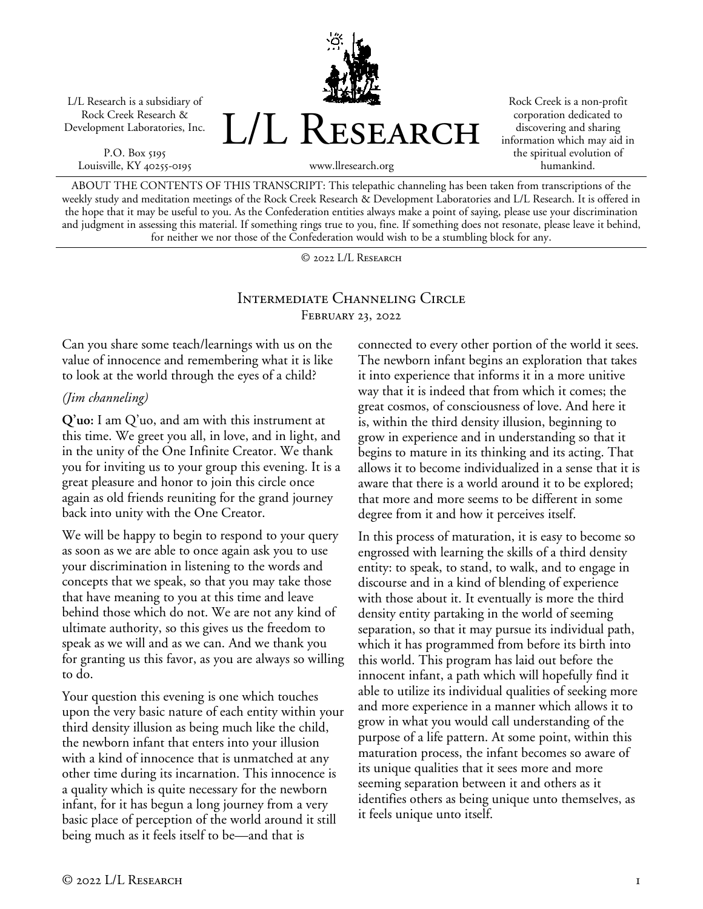L/L Research is a subsidiary of Rock Creek Research & Development Laboratories, Inc.

P.O. Box 5195 Louisville, KY 40255-0195 L/L RESEARCH

Rock Creek is a non-profit corporation dedicated to discovering and sharing information which may aid in the spiritual evolution of humankind.

ABOUT THE CONTENTS OF THIS TRANSCRIPT: This telepathic channeling has been taken from transcriptions of the weekly study and meditation meetings of the Rock Creek Research & Development Laboratories and L/L Research. It is offered in the hope that it may be useful to you. As the Confederation entities always make a point of saying, please use your discrimination and judgment in assessing this material. If something rings true to you, fine. If something does not resonate, please leave it behind, for neither we nor those of the Confederation would wish to be a stumbling block for any.

www.llresearch.org

© 2022 L/L Research

# Intermediate Channeling Circle February 23, 2022

Can you share some teach/learnings with us on the value of innocence and remembering what it is like to look at the world through the eyes of a child?

## *(Jim channeling)*

**Q'uo:** I am Q'uo, and am with this instrument at this time. We greet you all, in love, and in light, and in the unity of the One Infinite Creator. We thank you for inviting us to your group this evening. It is a great pleasure and honor to join this circle once again as old friends reuniting for the grand journey back into unity with the One Creator.

We will be happy to begin to respond to your query as soon as we are able to once again ask you to use your discrimination in listening to the words and concepts that we speak, so that you may take those that have meaning to you at this time and leave behind those which do not. We are not any kind of ultimate authority, so this gives us the freedom to speak as we will and as we can. And we thank you for granting us this favor, as you are always so willing to do.

Your question this evening is one which touches upon the very basic nature of each entity within your third density illusion as being much like the child, the newborn infant that enters into your illusion with a kind of innocence that is unmatched at any other time during its incarnation. This innocence is a quality which is quite necessary for the newborn infant, for it has begun a long journey from a very basic place of perception of the world around it still being much as it feels itself to be—and that is

connected to every other portion of the world it sees. The newborn infant begins an exploration that takes it into experience that informs it in a more unitive way that it is indeed that from which it comes; the great cosmos, of consciousness of love. And here it is, within the third density illusion, beginning to grow in experience and in understanding so that it begins to mature in its thinking and its acting. That allows it to become individualized in a sense that it is aware that there is a world around it to be explored; that more and more seems to be different in some degree from it and how it perceives itself.

In this process of maturation, it is easy to become so engrossed with learning the skills of a third density entity: to speak, to stand, to walk, and to engage in discourse and in a kind of blending of experience with those about it. It eventually is more the third density entity partaking in the world of seeming separation, so that it may pursue its individual path, which it has programmed from before its birth into this world. This program has laid out before the innocent infant, a path which will hopefully find it able to utilize its individual qualities of seeking more and more experience in a manner which allows it to grow in what you would call understanding of the purpose of a life pattern. At some point, within this maturation process, the infant becomes so aware of its unique qualities that it sees more and more seeming separation between it and others as it identifies others as being unique unto themselves, as it feels unique unto itself.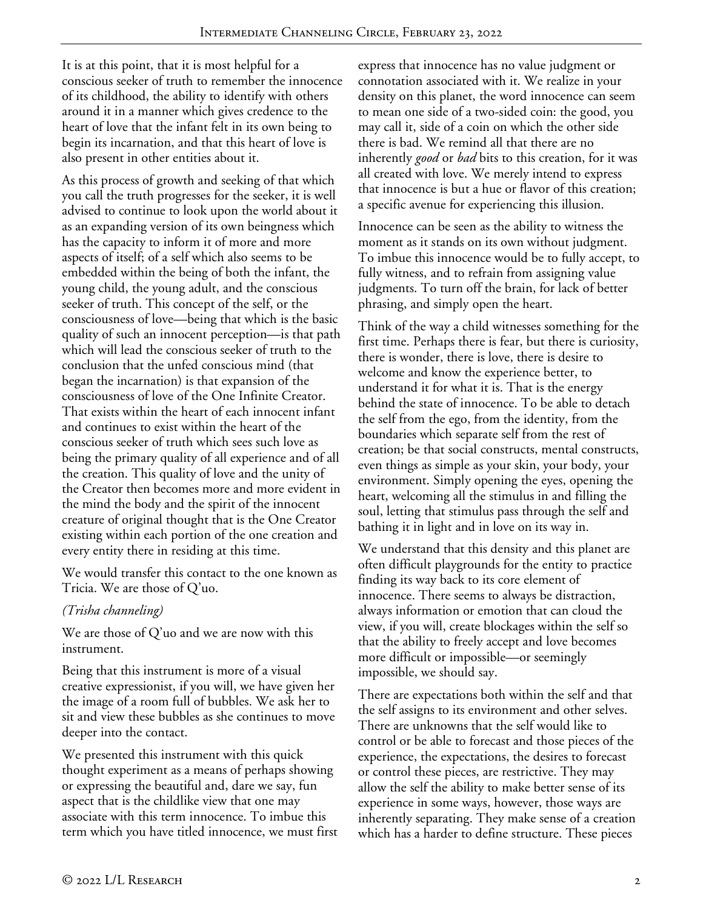It is at this point, that it is most helpful for a conscious seeker of truth to remember the innocence of its childhood, the ability to identify with others around it in a manner which gives credence to the heart of love that the infant felt in its own being to begin its incarnation, and that this heart of love is also present in other entities about it.

As this process of growth and seeking of that which you call the truth progresses for the seeker, it is well advised to continue to look upon the world about it as an expanding version of its own beingness which has the capacity to inform it of more and more aspects of itself; of a self which also seems to be embedded within the being of both the infant, the young child, the young adult, and the conscious seeker of truth. This concept of the self, or the consciousness of love—being that which is the basic quality of such an innocent perception—is that path which will lead the conscious seeker of truth to the conclusion that the unfed conscious mind (that began the incarnation) is that expansion of the consciousness of love of the One Infinite Creator. That exists within the heart of each innocent infant and continues to exist within the heart of the conscious seeker of truth which sees such love as being the primary quality of all experience and of all the creation. This quality of love and the unity of the Creator then becomes more and more evident in the mind the body and the spirit of the innocent creature of original thought that is the One Creator existing within each portion of the one creation and every entity there in residing at this time.

We would transfer this contact to the one known as Tricia. We are those of Q'uo.

## *(Trisha channeling)*

We are those of Q'uo and we are now with this instrument.

Being that this instrument is more of a visual creative expressionist, if you will, we have given her the image of a room full of bubbles. We ask her to sit and view these bubbles as she continues to move deeper into the contact.

We presented this instrument with this quick thought experiment as a means of perhaps showing or expressing the beautiful and, dare we say, fun aspect that is the childlike view that one may associate with this term innocence. To imbue this term which you have titled innocence, we must first express that innocence has no value judgment or connotation associated with it. We realize in your density on this planet, the word innocence can seem to mean one side of a two-sided coin: the good, you may call it, side of a coin on which the other side there is bad. We remind all that there are no inherently *good* or *bad* bits to this creation, for it was all created with love. We merely intend to express that innocence is but a hue or flavor of this creation; a specific avenue for experiencing this illusion.

Innocence can be seen as the ability to witness the moment as it stands on its own without judgment. To imbue this innocence would be to fully accept, to fully witness, and to refrain from assigning value judgments. To turn off the brain, for lack of better phrasing, and simply open the heart.

Think of the way a child witnesses something for the first time. Perhaps there is fear, but there is curiosity, there is wonder, there is love, there is desire to welcome and know the experience better, to understand it for what it is. That is the energy behind the state of innocence. To be able to detach the self from the ego, from the identity, from the boundaries which separate self from the rest of creation; be that social constructs, mental constructs, even things as simple as your skin, your body, your environment. Simply opening the eyes, opening the heart, welcoming all the stimulus in and filling the soul, letting that stimulus pass through the self and bathing it in light and in love on its way in.

We understand that this density and this planet are often difficult playgrounds for the entity to practice finding its way back to its core element of innocence. There seems to always be distraction, always information or emotion that can cloud the view, if you will, create blockages within the self so that the ability to freely accept and love becomes more difficult or impossible—or seemingly impossible, we should say.

There are expectations both within the self and that the self assigns to its environment and other selves. There are unknowns that the self would like to control or be able to forecast and those pieces of the experience, the expectations, the desires to forecast or control these pieces, are restrictive. They may allow the self the ability to make better sense of its experience in some ways, however, those ways are inherently separating. They make sense of a creation which has a harder to define structure. These pieces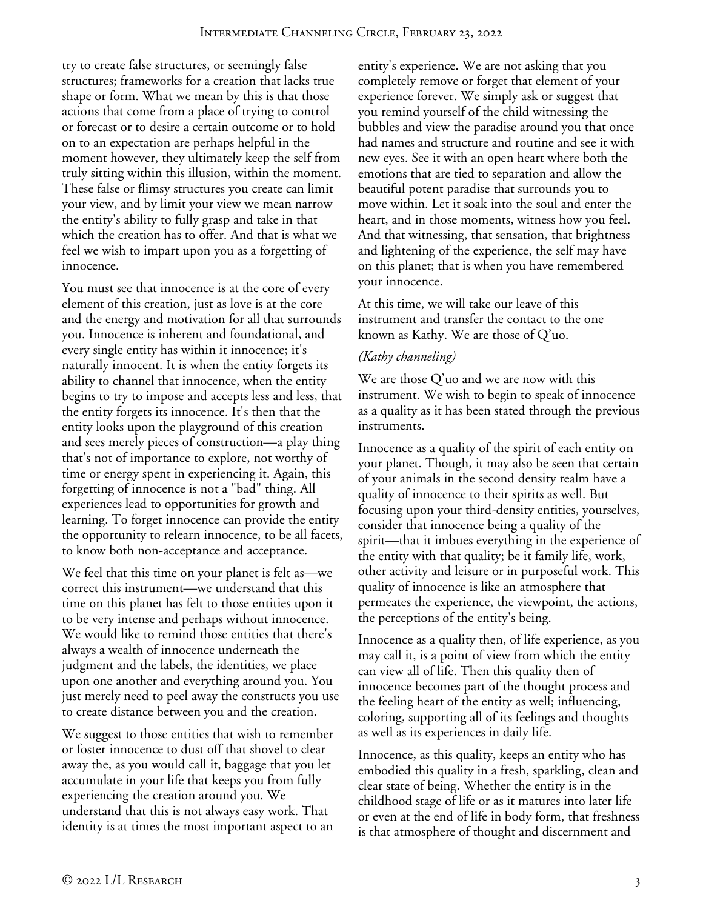try to create false structures, or seemingly false structures; frameworks for a creation that lacks true shape or form. What we mean by this is that those actions that come from a place of trying to control or forecast or to desire a certain outcome or to hold on to an expectation are perhaps helpful in the moment however, they ultimately keep the self from truly sitting within this illusion, within the moment. These false or flimsy structures you create can limit your view, and by limit your view we mean narrow the entity's ability to fully grasp and take in that which the creation has to offer. And that is what we feel we wish to impart upon you as a forgetting of innocence.

You must see that innocence is at the core of every element of this creation, just as love is at the core and the energy and motivation for all that surrounds you. Innocence is inherent and foundational, and every single entity has within it innocence; it's naturally innocent. It is when the entity forgets its ability to channel that innocence, when the entity begins to try to impose and accepts less and less, that the entity forgets its innocence. It's then that the entity looks upon the playground of this creation and sees merely pieces of construction—a play thing that's not of importance to explore, not worthy of time or energy spent in experiencing it. Again, this forgetting of innocence is not a "bad" thing. All experiences lead to opportunities for growth and learning. To forget innocence can provide the entity the opportunity to relearn innocence, to be all facets, to know both non-acceptance and acceptance.

We feel that this time on your planet is felt as—we correct this instrument—we understand that this time on this planet has felt to those entities upon it to be very intense and perhaps without innocence. We would like to remind those entities that there's always a wealth of innocence underneath the judgment and the labels, the identities, we place upon one another and everything around you. You just merely need to peel away the constructs you use to create distance between you and the creation.

We suggest to those entities that wish to remember or foster innocence to dust off that shovel to clear away the, as you would call it, baggage that you let accumulate in your life that keeps you from fully experiencing the creation around you. We understand that this is not always easy work. That identity is at times the most important aspect to an

entity's experience. We are not asking that you completely remove or forget that element of your experience forever. We simply ask or suggest that you remind yourself of the child witnessing the bubbles and view the paradise around you that once had names and structure and routine and see it with new eyes. See it with an open heart where both the emotions that are tied to separation and allow the beautiful potent paradise that surrounds you to move within. Let it soak into the soul and enter the heart, and in those moments, witness how you feel. And that witnessing, that sensation, that brightness and lightening of the experience, the self may have on this planet; that is when you have remembered your innocence.

At this time, we will take our leave of this instrument and transfer the contact to the one known as Kathy. We are those of Q'uo.

# *(Kathy channeling)*

We are those Q'uo and we are now with this instrument. We wish to begin to speak of innocence as a quality as it has been stated through the previous instruments.

Innocence as a quality of the spirit of each entity on your planet. Though, it may also be seen that certain of your animals in the second density realm have a quality of innocence to their spirits as well. But focusing upon your third-density entities, yourselves, consider that innocence being a quality of the spirit—that it imbues everything in the experience of the entity with that quality; be it family life, work, other activity and leisure or in purposeful work. This quality of innocence is like an atmosphere that permeates the experience, the viewpoint, the actions, the perceptions of the entity's being.

Innocence as a quality then, of life experience, as you may call it, is a point of view from which the entity can view all of life. Then this quality then of innocence becomes part of the thought process and the feeling heart of the entity as well; influencing, coloring, supporting all of its feelings and thoughts as well as its experiences in daily life.

Innocence, as this quality, keeps an entity who has embodied this quality in a fresh, sparkling, clean and clear state of being. Whether the entity is in the childhood stage of life or as it matures into later life or even at the end of life in body form, that freshness is that atmosphere of thought and discernment and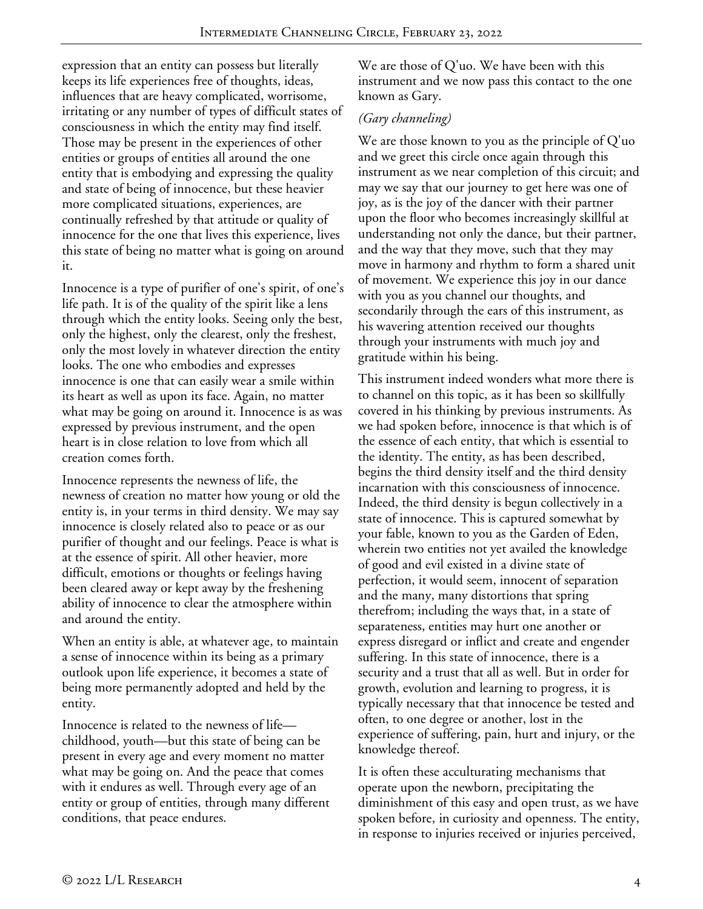expression that an entity can possess but literally keeps its life experiences free of thoughts, ideas, influences that are heavy complicated, worrisome, irritating or any number of types of difficult states of consciousness in which the entity may find itself. Those may be present in the experiences of other entities or groups of entities all around the one entity that is embodying and expressing the quality and state of being of innocence, but these heavier more complicated situations, experiences, are continually refreshed by that attitude or quality of innocence for the one that lives this experience, lives this state of being no matter what is going on around it.

Innocence is a type of purifier of one's spirit, of one's life path. It is of the quality of the spirit like a lens through which the entity looks. Seeing only the best, only the highest, only the clearest, only the freshest, only the most lovely in whatever direction the entity looks. The one who embodies and expresses innocence is one that can easily wear a smile within its heart as well as upon its face. Again, no matter what may be going on around it. Innocence is as was expressed by previous instrument, and the open heart is in close relation to love from which all creation comes forth.

Innocence represents the newness of life, the newness of creation no matter how young or old the entity is, in your terms in third density. We may say innocence is closely related also to peace or as our purifier of thought and our feelings. Peace is what is at the essence of spirit. All other heavier, more difficult, emotions or thoughts or feelings having been cleared away or kept away by the freshening ability of innocence to clear the atmosphere within and around the entity.

When an entity is able, at whatever age, to maintain a sense of innocence within its being as a primary outlook upon life experience, it becomes a state of being more permanently adopted and held by the entity.

Innocence is related to the newness of life childhood, youth—but this state of being can be present in every age and every moment no matter what may be going on. And the peace that comes with it endures as well. Through every age of an entity or group of entities, through many different conditions, that peace endures.

We are those of Q'uo. We have been with this instrument and we now pass this contact to the one known as Gary.

## *(Gary channeling)*

We are those known to you as the principle of Q'uo and we greet this circle once again through this instrument as we near completion of this circuit; and may we say that our journey to get here was one of joy, as is the joy of the dancer with their partner upon the floor who becomes increasingly skillful at understanding not only the dance, but their partner, and the way that they move, such that they may move in harmony and rhythm to form a shared unit of movement. We experience this joy in our dance with you as you channel our thoughts, and secondarily through the ears of this instrument, as his wavering attention received our thoughts through your instruments with much joy and gratitude within his being.

This instrument indeed wonders what more there is to channel on this topic, as it has been so skillfully covered in his thinking by previous instruments. As we had spoken before, innocence is that which is of the essence of each entity, that which is essential to the identity. The entity, as has been described, begins the third density itself and the third density incarnation with this consciousness of innocence. Indeed, the third density is begun collectively in a state of innocence. This is captured somewhat by your fable, known to you as the Garden of Eden, wherein two entities not yet availed the knowledge of good and evil existed in a divine state of perfection, it would seem, innocent of separation and the many, many distortions that spring therefrom; including the ways that, in a state of separateness, entities may hurt one another or express disregard or inflict and create and engender suffering. In this state of innocence, there is a security and a trust that all as well. But in order for growth, evolution and learning to progress, it is typically necessary that that innocence be tested and often, to one degree or another, lost in the experience of suffering, pain, hurt and injury, or the knowledge thereof.

It is often these acculturating mechanisms that operate upon the newborn, precipitating the diminishment of this easy and open trust, as we have spoken before, in curiosity and openness. The entity, in response to injuries received or injuries perceived,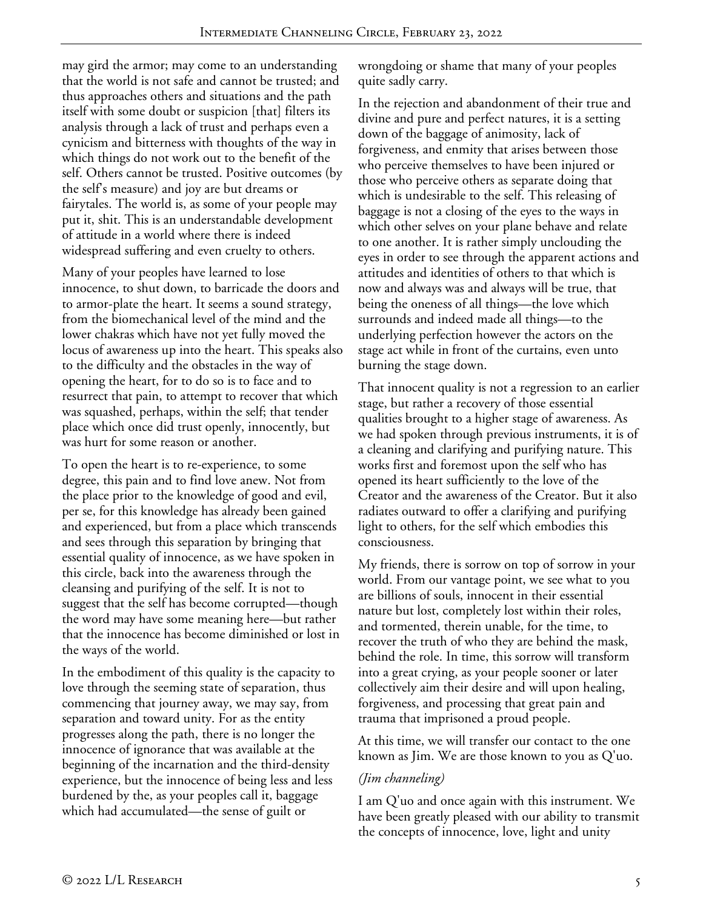may gird the armor; may come to an understanding that the world is not safe and cannot be trusted; and thus approaches others and situations and the path itself with some doubt or suspicion [that] filters its analysis through a lack of trust and perhaps even a cynicism and bitterness with thoughts of the way in which things do not work out to the benefit of the self. Others cannot be trusted. Positive outcomes (by the self's measure) and joy are but dreams or fairytales. The world is, as some of your people may put it, shit. This is an understandable development of attitude in a world where there is indeed widespread suffering and even cruelty to others.

Many of your peoples have learned to lose innocence, to shut down, to barricade the doors and to armor-plate the heart. It seems a sound strategy, from the biomechanical level of the mind and the lower chakras which have not yet fully moved the locus of awareness up into the heart. This speaks also to the difficulty and the obstacles in the way of opening the heart, for to do so is to face and to resurrect that pain, to attempt to recover that which was squashed, perhaps, within the self; that tender place which once did trust openly, innocently, but was hurt for some reason or another.

To open the heart is to re-experience, to some degree, this pain and to find love anew. Not from the place prior to the knowledge of good and evil, per se, for this knowledge has already been gained and experienced, but from a place which transcends and sees through this separation by bringing that essential quality of innocence, as we have spoken in this circle, back into the awareness through the cleansing and purifying of the self. It is not to suggest that the self has become corrupted—though the word may have some meaning here—but rather that the innocence has become diminished or lost in the ways of the world.

In the embodiment of this quality is the capacity to love through the seeming state of separation, thus commencing that journey away, we may say, from separation and toward unity. For as the entity progresses along the path, there is no longer the innocence of ignorance that was available at the beginning of the incarnation and the third-density experience, but the innocence of being less and less burdened by the, as your peoples call it, baggage which had accumulated—the sense of guilt or

wrongdoing or shame that many of your peoples quite sadly carry.

In the rejection and abandonment of their true and divine and pure and perfect natures, it is a setting down of the baggage of animosity, lack of forgiveness, and enmity that arises between those who perceive themselves to have been injured or those who perceive others as separate doing that which is undesirable to the self. This releasing of baggage is not a closing of the eyes to the ways in which other selves on your plane behave and relate to one another. It is rather simply unclouding the eyes in order to see through the apparent actions and attitudes and identities of others to that which is now and always was and always will be true, that being the oneness of all things—the love which surrounds and indeed made all things—to the underlying perfection however the actors on the stage act while in front of the curtains, even unto burning the stage down.

That innocent quality is not a regression to an earlier stage, but rather a recovery of those essential qualities brought to a higher stage of awareness. As we had spoken through previous instruments, it is of a cleaning and clarifying and purifying nature. This works first and foremost upon the self who has opened its heart sufficiently to the love of the Creator and the awareness of the Creator. But it also radiates outward to offer a clarifying and purifying light to others, for the self which embodies this consciousness.

My friends, there is sorrow on top of sorrow in your world. From our vantage point, we see what to you are billions of souls, innocent in their essential nature but lost, completely lost within their roles, and tormented, therein unable, for the time, to recover the truth of who they are behind the mask, behind the role. In time, this sorrow will transform into a great crying, as your people sooner or later collectively aim their desire and will upon healing, forgiveness, and processing that great pain and trauma that imprisoned a proud people.

At this time, we will transfer our contact to the one known as Jim. We are those known to you as Q'uo.

## *(Jim channeling)*

I am Q'uo and once again with this instrument. We have been greatly pleased with our ability to transmit the concepts of innocence, love, light and unity